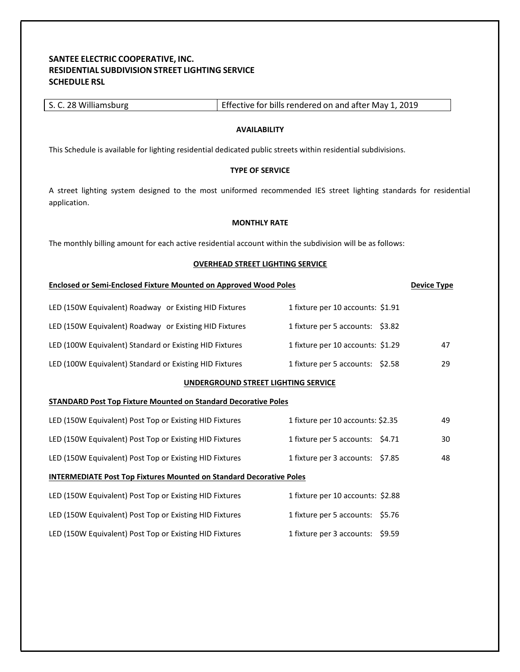# **SANTEE ELECTRIC COOPERATIVE, INC. RESIDENTIAL SUBDIVISION STREET LIGHTING SERVICE SCHEDULE RSL**

| This Schedule is available for lighting residential dedicated public streets within residential subdivisions.                     |                                   |                    |  |
|-----------------------------------------------------------------------------------------------------------------------------------|-----------------------------------|--------------------|--|
| <b>TYPE OF SERVICE</b>                                                                                                            |                                   |                    |  |
| A street lighting system designed to the most uniformed recommended IES street lighting standards for residential<br>application. |                                   |                    |  |
| <b>MONTHLY RATE</b>                                                                                                               |                                   |                    |  |
| The monthly billing amount for each active residential account within the subdivision will be as follows:                         |                                   |                    |  |
| <b>OVERHEAD STREET LIGHTING SERVICE</b>                                                                                           |                                   |                    |  |
| <b>Enclosed or Semi-Enclosed Fixture Mounted on Approved Wood Poles</b>                                                           |                                   | <b>Device Type</b> |  |
| LED (150W Equivalent) Roadway or Existing HID Fixtures                                                                            | 1 fixture per 10 accounts: \$1.91 |                    |  |
| LED (150W Equivalent) Roadway or Existing HID Fixtures                                                                            | 1 fixture per 5 accounts: \$3.82  |                    |  |
| LED (100W Equivalent) Standard or Existing HID Fixtures                                                                           | 1 fixture per 10 accounts: \$1.29 | 47                 |  |
| LED (100W Equivalent) Standard or Existing HID Fixtures                                                                           | 1 fixture per 5 accounts: \$2.58  | 29                 |  |
| UNDERGROUND STREET LIGHTING SERVICE                                                                                               |                                   |                    |  |
| <b>STANDARD Post Top Fixture Mounted on Standard Decorative Poles</b>                                                             |                                   |                    |  |
| LED (150W Equivalent) Post Top or Existing HID Fixtures                                                                           | 1 fixture per 10 accounts: \$2.35 | 49                 |  |
| LED (150W Equivalent) Post Top or Existing HID Fixtures                                                                           | 1 fixture per 5 accounts: \$4.71  | 30                 |  |
| LED (150W Equivalent) Post Top or Existing HID Fixtures                                                                           | 1 fixture per 3 accounts: \$7.85  | 48                 |  |
| <b>INTERMEDIATE Post Top Fixtures Mounted on Standard Decorative Poles</b>                                                        |                                   |                    |  |
| LED (150W Equivalent) Post Top or Existing HID Fixtures                                                                           | 1 fixture per 10 accounts: \$2.88 |                    |  |
| LED (150W Equivalent) Post Top or Existing HID Fixtures                                                                           | 1 fixture per 5 accounts: \$5.76  |                    |  |
| LED (150W Equivalent) Post Top or Existing HID Fixtures                                                                           | 1 fixture per 3 accounts: \$9.59  |                    |  |
|                                                                                                                                   |                                   |                    |  |
|                                                                                                                                   |                                   |                    |  |

S. C. 28 Williamsburg Effective for bills rendered on and after May 1, 2019

**AVAILABILITY**